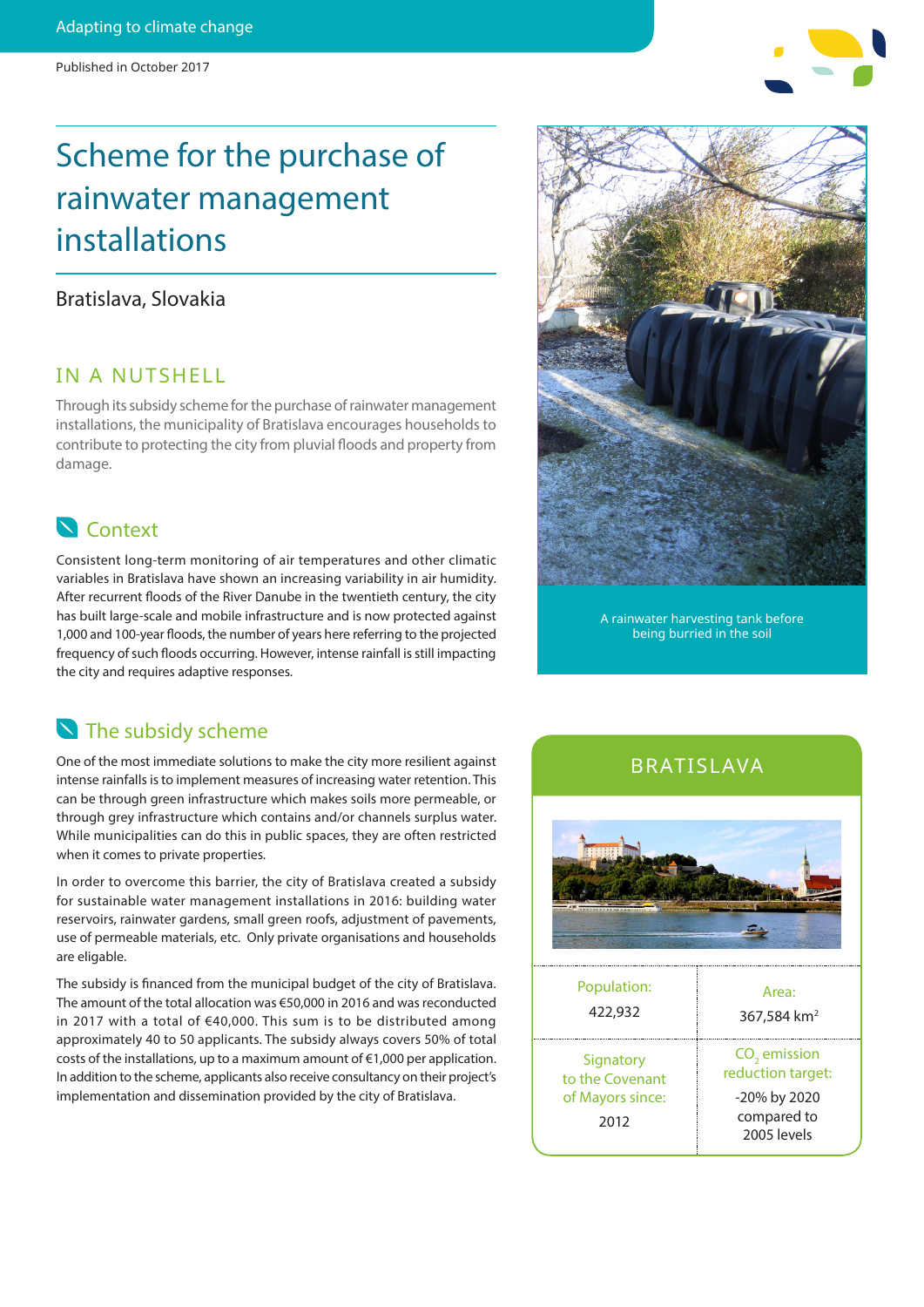# Scheme for the purchase of rainwater management installations

#### Bratislava, Slovakia

#### IN A NUTSHELL

Through its subsidy scheme for the purchase of rainwater management installations, the municipality of Bratislava encourages households to contribute to protecting the city from pluvial floods and property from damage.

## **N** Context

Consistent long-term monitoring of air temperatures and other climatic variables in Bratislava have shown an increasing variability in air humidity. After recurrent floods of the River Danube in the twentieth century, the city has built large-scale and mobile infrastructure and is now protected against 1,000 and 100-year floods, the number of years here referring to the projected frequency of such floods occurring. However, intense rainfall is still impacting the city and requires adaptive responses.

## The subsidy scheme

One of the most immediate solutions to make the city more resilient against intense rainfalls is to implement measures of increasing water retention. This can be through green infrastructure which makes soils more permeable, or through grey infrastructure which contains and/or channels surplus water. While municipalities can do this in public spaces, they are often restricted when it comes to private properties.

In order to overcome this barrier, the city of Bratislava created a subsidy for sustainable water management installations in 2016: building water reservoirs, rainwater gardens, small green roofs, adjustment of pavements, use of permeable materials, etc. Only private organisations and households are eligable.

The subsidy is financed from the municipal budget of the city of Bratislava. The amount of the total allocation was €50,000 in 2016 and was reconducted in 2017 with a total of €40,000. This sum is to be distributed among approximately 40 to 50 applicants. The subsidy always covers 50% of total costs of the installations, up to a maximum amount of €1,000 per application. In addition to the scheme, applicants also receive consultancy on their project's implementation and dissemination provided by the city of Bratislava.

A rainwater harvesting tank before being burried in the soil

### BRATISLAVA



| 422,932                                                  | 367,584 km <sup>2</sup>                                                                     |
|----------------------------------------------------------|---------------------------------------------------------------------------------------------|
| Signatory<br>to the Covenant<br>of Mayors since:<br>2012 | CO <sub>2</sub> emission<br>reduction target:<br>-20% by 2020<br>compared to<br>2005 levels |
|                                                          |                                                                                             |